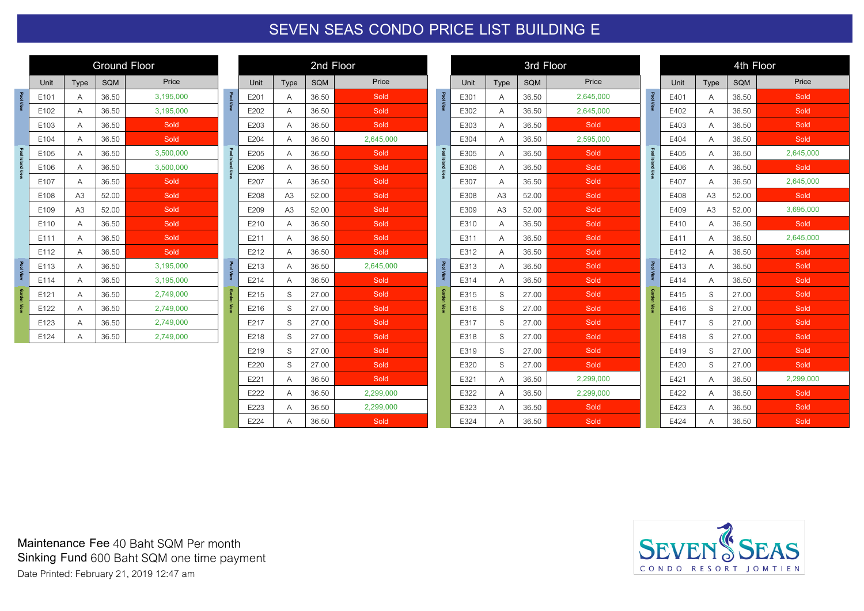## **SEVEN SEAS CONDO PRICE LIST BUILDING E**

|                    | <b>Ground Floor</b> |                |            |           |  |  |
|--------------------|---------------------|----------------|------------|-----------|--|--|
|                    | Unit                | <b>Type</b>    | <b>SQM</b> | Price     |  |  |
| Pool View          | E101                | A              | 36.50      | 3,195,000 |  |  |
|                    | E102                | A              | 36.50      | 3,195,000 |  |  |
|                    | E103                | A              | 36.50      | Sold      |  |  |
|                    | E104                | A              | 36.50      | Sold      |  |  |
|                    | E105                | A              | 36.50      | 3,500,000 |  |  |
| Pool Island View   | E106                | A              | 36.50      | 3,500,000 |  |  |
|                    | E107                | A              | 36.50      | Sold      |  |  |
|                    | E108                | A <sub>3</sub> | 52.00      | Sold      |  |  |
|                    | E109                | A <sub>3</sub> | 52.00      | Sold      |  |  |
|                    | E110                | A              | 36.50      | Sold      |  |  |
|                    | E111                | A              | 36.50      | Sold      |  |  |
|                    | E112                | Α              | 36.50      | Sold      |  |  |
| Pool View          | E113                | A              | 36.50      | 3,195,000 |  |  |
|                    | E114                | A              | 36.50      | 3,195,000 |  |  |
| <b>Garden View</b> | E121                | Α              | 36.50      | 2,749,000 |  |  |
|                    | E122                | A              | 36.50      | 2,749,000 |  |  |
|                    | E123                | Α              | 36.50      | 2,749,000 |  |  |
|                    | E124                | Α              | 36.50      | 2,749,000 |  |  |

| 2nd Floor        |                |       |           |  |  |  |  |
|------------------|----------------|-------|-----------|--|--|--|--|
| Unit             | Type           | SQM   | Price     |  |  |  |  |
| E201             | A              | 36.50 | Sold      |  |  |  |  |
| E202             | Α              | 36.50 | Sold      |  |  |  |  |
| E203             | Α              | 36.50 | Sold      |  |  |  |  |
| E204             | Α              | 36.50 | 2,645,000 |  |  |  |  |
| E205             | Α              | 36.50 | Sold      |  |  |  |  |
| E206             | Α              | 36.50 | Sold      |  |  |  |  |
| E207             | Α              | 36.50 | Sold      |  |  |  |  |
| E208             | A <sub>3</sub> | 52.00 | Sold      |  |  |  |  |
| E209             | A <sub>3</sub> | 52.00 | Sold      |  |  |  |  |
| E210             | Α              | 36.50 | Sold      |  |  |  |  |
| E211             | Α              | 36.50 | Sold      |  |  |  |  |
| E212             | A              | 36.50 | Sold      |  |  |  |  |
| E213             | Α              | 36.50 | 2,645,000 |  |  |  |  |
| E214             | A              | 36.50 | Sold      |  |  |  |  |
| E215             | S              | 27.00 | Sold      |  |  |  |  |
| E216             | S              | 27.00 | Sold      |  |  |  |  |
| E217             | S              | 27.00 | Sold      |  |  |  |  |
| E218             | S              | 27.00 | Sold      |  |  |  |  |
| E219             | S              | 27.00 | Sold      |  |  |  |  |
| E220             | S              | 27.00 | Sold      |  |  |  |  |
| E221             | A              | 36.50 | Sold      |  |  |  |  |
| E222             | A              | 36.50 | 2,299,000 |  |  |  |  |
| E223             | Α              | 36.50 | 2,299,000 |  |  |  |  |
| F <sub>224</sub> | Α              | 36.50 | Sold      |  |  |  |  |

|                    | 3rd Floor |                |            |           |  |  |
|--------------------|-----------|----------------|------------|-----------|--|--|
|                    | Unit      | Type           | <b>SQM</b> | Price     |  |  |
| <b>Pool View</b>   | E301      | A              | 36.50      | 2,645,000 |  |  |
|                    | E302      | Α              | 36.50      | 2,645,000 |  |  |
|                    | E303      | Α              | 36.50      | Sold      |  |  |
|                    | E304      | A              | 36.50      | 2,595,000 |  |  |
|                    | E305      | Α              | 36.50      | Sold      |  |  |
| Pool Island View   | E306      | Α              | 36.50      | Sold      |  |  |
|                    | E307      | Α              | 36.50      | Sold      |  |  |
|                    | E308      | A3             | 52.00      | Sold      |  |  |
|                    | E309      | A <sub>3</sub> | 52.00      | Sold      |  |  |
|                    | E310      | Α              | 36.50      | Sold      |  |  |
| Pool View          | E311      | Α              | 36.50      | Sold      |  |  |
|                    | E312      | Α              | 36.50      | Sold      |  |  |
|                    | E313      | Α              | 36.50      | Sold      |  |  |
|                    | E314      | Α              | 36.50      | Sold      |  |  |
| <b>Garden View</b> | E315      | S              | 27.00      | Sold      |  |  |
|                    | E316      | S              | 27.00      | Sold      |  |  |
|                    | E317      | S              | 27.00      | Sold      |  |  |
|                    | E318      | S              | 27.00      | Sold      |  |  |
|                    | E319      | S              | 27.00      | Sold      |  |  |
|                    | E320      | S              | 27.00      | Sold      |  |  |
|                    | E321      | Α              | 36.50      | 2,299,000 |  |  |
|                    | E322      | Α              | 36.50      | 2,299,000 |  |  |
|                    | E323      | Α              | 36.50      | Sold      |  |  |
|                    | E324      | Α              | 36.50      | Sold      |  |  |

|                    | 4th Floor |                |            |           |  |  |
|--------------------|-----------|----------------|------------|-----------|--|--|
|                    | Unit      | Type           | <b>SQM</b> | Price     |  |  |
| <b>Pool View</b>   | E401      | A              | 36.50      | Sold      |  |  |
|                    | E402      | А              | 36.50      | Sold      |  |  |
|                    | E403      | А              | 36.50      | Sold      |  |  |
|                    | E404      | Α              | 36.50      | Sold      |  |  |
|                    | E405      | Α              | 36.50      | 2,645,000 |  |  |
| Pool Island View   | E406      | A              | 36.50      | Sold      |  |  |
|                    | E407      | A              | 36.50      | 2,645,000 |  |  |
|                    | E408      | A <sub>3</sub> | 52.00      | Sold      |  |  |
|                    | E409      | A3             | 52.00      | 3,695,000 |  |  |
|                    | E410      | Α              | 36.50      | Sold      |  |  |
|                    | E411      | A              | 36.50      | 2,645,000 |  |  |
|                    | E412      | А              | 36.50      | Sold      |  |  |
| <b>Pool View</b>   | E413      | А              | 36.50      | Sold      |  |  |
|                    | E414      | Α              | 36.50      | Sold      |  |  |
| <b>Garden View</b> | E415      | S              | 27.00      | Sold      |  |  |
|                    | E416      | S              | 27.00      | Sold      |  |  |
|                    | E417      | S              | 27.00      | Sold      |  |  |
|                    | E418      | S              | 27.00      | Sold      |  |  |
|                    | E419      | S              |            | Sold      |  |  |
|                    | E420      | S              | 27.00      | Sold      |  |  |
|                    | E421      | A              | 36.50      | 2,299,000 |  |  |
|                    | E422      | A              | 36.50      | Sold      |  |  |
|                    | E423      | А              | 36.50      | Sold      |  |  |
|                    | E424      | Α              | 36.50      | Sold      |  |  |